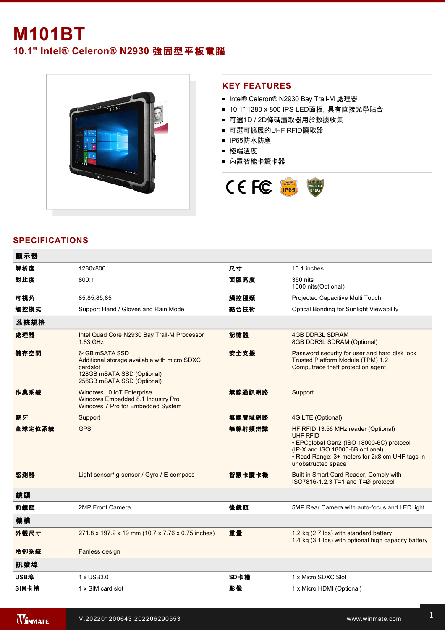## **M101BT 10.1" Intel® Celeron® N2930** 強固型平板電腦



## **KEY FEATURES**

- Intel® Celeron® N2930 Bay Trail-M 處理器
- 10.1" 1280 x 800 IPS LED面板, 具有直接光學貼合
- 可選1D / 2D條碼讀取器用於數據收集
- 可選可擴展的UHF RFID讀取器
- IP65防水防塵
- 極端溫度
- 內置智能卡讀卡器



## **SPECIFICATIONS**

| 顯示器    |                                                                                                                                        |        |                                                                                                                                                                                                                |
|--------|----------------------------------------------------------------------------------------------------------------------------------------|--------|----------------------------------------------------------------------------------------------------------------------------------------------------------------------------------------------------------------|
| 解析度    | 1280x800                                                                                                                               | 尺寸     | 10.1 inches                                                                                                                                                                                                    |
| 對比度    | 800:1                                                                                                                                  | 面版亮度   | 350 nits<br>1000 nits(Optional)                                                                                                                                                                                |
| 可視角    | 85,85,85,85                                                                                                                            | 觸控種類   | Projected Capacitive Multi Touch                                                                                                                                                                               |
| 觸控模式   | Support Hand / Gloves and Rain Mode                                                                                                    | 黏合技術   | <b>Optical Bonding for Sunlight Viewability</b>                                                                                                                                                                |
| 系統規格   |                                                                                                                                        |        |                                                                                                                                                                                                                |
| 處理器    | Intel Quad Core N2930 Bay Trail-M Processor<br>1.83 GHz                                                                                | 記憶體    | <b>4GB DDR3L SDRAM</b><br>8GB DDR3L SDRAM (Optional)                                                                                                                                                           |
| 儲存空間   | 64GB mSATA SSD<br>Additional storage available with micro SDXC<br>cardslot<br>128GB mSATA SSD (Optional)<br>256GB mSATA SSD (Optional) | 安全支援   | Password security for user and hard disk lock<br>Trusted Platform Module (TPM) 1.2<br>Computrace theft protection agent                                                                                        |
| 作業系統   | Windows 10 IoT Enterprise<br>Windows Embedded 8.1 Industry Pro<br>Windows 7 Pro for Embedded System                                    | 無線通訊網路 | Support                                                                                                                                                                                                        |
| 藍牙     | Support                                                                                                                                | 無線廣域網路 | 4G LTE (Optional)                                                                                                                                                                                              |
| 全球定位系統 | <b>GPS</b>                                                                                                                             | 無線射頻辨識 | HF RFID 13.56 MHz reader (Optional)<br><b>UHF RFID</b><br>• EPCqlobal Gen2 (ISO 18000-6C) protocol<br>(IP-X and ISO 18000-6B optional)<br>• Read Range: 3+ meters for 2x8 cm UHF tags in<br>unobstructed space |
| 感測器    | Light sensor/ g-sensor / Gyro / E-compass                                                                                              | 智慧卡讀卡機 | Built-in Smart Card Reader, Comply with<br>ISO7816-1.2.3 T=1 and $T = \emptyset$ protocol                                                                                                                      |
| 鏡頭     |                                                                                                                                        |        |                                                                                                                                                                                                                |
| 前鏡頭    | 2MP Front Camera                                                                                                                       | 後鏡頭    | 5MP Rear Camera with auto-focus and LED light                                                                                                                                                                  |
| 機構     |                                                                                                                                        |        |                                                                                                                                                                                                                |
| 外觀尺寸   | 271.8 x 197.2 x 19 mm (10.7 x 7.76 x 0.75 inches)                                                                                      | 重量     | 1.2 kg (2.7 lbs) with standard battery,<br>1.4 kg (3.1 lbs) with optional high capacity battery                                                                                                                |
| 冷卻系統   | Fanless design                                                                                                                         |        |                                                                                                                                                                                                                |
| 訊號埠    |                                                                                                                                        |        |                                                                                                                                                                                                                |
| USB埠   | 1 x USB3.0                                                                                                                             | SD卡槽   | 1 x Micro SDXC Slot                                                                                                                                                                                            |
| SIM卡槽  | 1 x SIM card slot                                                                                                                      | 影像     | 1 x Micro HDMI (Optional)                                                                                                                                                                                      |

or Line Out)

(Optional)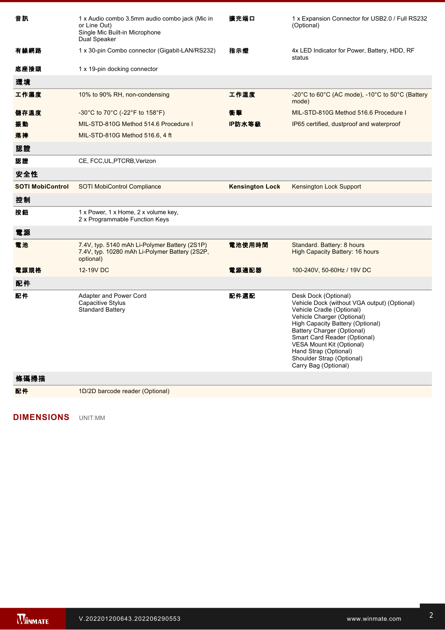| 音訊                      | 1 x Audio combo 3.5mm audio combo jack (Mic in<br>or Line Out)<br>Single Mic Built-in Microphone<br>Dual Speaker | 擴充端口                   | 1 x Expansion Connector for USB2.0 / Full RS232<br>(Optional)                                                                                                                                                                                                                                                                                |
|-------------------------|------------------------------------------------------------------------------------------------------------------|------------------------|----------------------------------------------------------------------------------------------------------------------------------------------------------------------------------------------------------------------------------------------------------------------------------------------------------------------------------------------|
| 有線網路                    | 1 x 30-pin Combo connector (Gigabit-LAN/RS232)                                                                   | 指示燈                    | 4x LED Indicator for Power, Battery, HDD, RF<br>status                                                                                                                                                                                                                                                                                       |
| 底座接頭                    | 1 x 19-pin docking connector                                                                                     |                        |                                                                                                                                                                                                                                                                                                                                              |
| 環境                      |                                                                                                                  |                        |                                                                                                                                                                                                                                                                                                                                              |
| 工作濕度                    | 10% to 90% RH, non-condensing                                                                                    | 工作溫度                   | -20 $^{\circ}$ C to 60 $^{\circ}$ C (AC mode), -10 $^{\circ}$ C to 50 $^{\circ}$ C (Battery<br>mode)                                                                                                                                                                                                                                         |
| 儲存溫度                    | -30°C to 70°C (-22°F to 158°F)                                                                                   | 衝擊                     | MIL-STD-810G Method 516.6 Procedure I                                                                                                                                                                                                                                                                                                        |
| 振動                      | MIL-STD-810G Method 514.6 Procedure I                                                                            | IP防水等級                 | IP65 certified, dustproof and waterproof                                                                                                                                                                                                                                                                                                     |
| 落棒                      | MIL-STD-810G Method 516.6, 4 ft                                                                                  |                        |                                                                                                                                                                                                                                                                                                                                              |
| 認證                      |                                                                                                                  |                        |                                                                                                                                                                                                                                                                                                                                              |
| 認證                      | CE, FCC, UL, PTCRB, Verizon                                                                                      |                        |                                                                                                                                                                                                                                                                                                                                              |
| 安全性                     |                                                                                                                  |                        |                                                                                                                                                                                                                                                                                                                                              |
| <b>SOTI MobiControl</b> | <b>SOTI MobiControl Compliance</b>                                                                               | <b>Kensington Lock</b> | Kensington Lock Support                                                                                                                                                                                                                                                                                                                      |
| 控制                      |                                                                                                                  |                        |                                                                                                                                                                                                                                                                                                                                              |
| 按鈕                      | 1 x Power, 1 x Home, 2 x volume key,<br>2 x Programmable Function Keys                                           |                        |                                                                                                                                                                                                                                                                                                                                              |
| 電源                      |                                                                                                                  |                        |                                                                                                                                                                                                                                                                                                                                              |
| 電池                      | 7.4V, typ. 5140 mAh Li-Polymer Battery (2S1P)<br>7.4V, typ. 10280 mAh Li-Polymer Battery (2S2P,<br>optional)     | 電池使用時間                 | Standard. Battery: 8 hours<br>High Capacity Battery: 16 hours                                                                                                                                                                                                                                                                                |
| 電源規格                    | 12-19V DC                                                                                                        | 電源適配器                  | 100-240V, 50-60Hz / 19V DC                                                                                                                                                                                                                                                                                                                   |
| 配件                      |                                                                                                                  |                        |                                                                                                                                                                                                                                                                                                                                              |
| 配件                      | Adapter and Power Cord<br>Capacitive Stylus<br><b>Standard Battery</b>                                           | 配件選配                   | Desk Dock (Optional)<br>Vehicle Dock (without VGA output) (Optional)<br>Vehicle Cradle (Optional)<br>Vehicle Charger (Optional)<br>High Capacity Battery (Optional)<br>Battery Charger (Optional)<br>Smart Card Reader (Optional)<br>VESA Mount Kit (Optional)<br>Hand Strap (Optional)<br>Shoulder Strap (Optional)<br>Carry Bag (Optional) |
| 條碼掃描                    |                                                                                                                  |                        |                                                                                                                                                                                                                                                                                                                                              |
| 配件                      | 1D/2D barcode reader (Optional)                                                                                  |                        |                                                                                                                                                                                                                                                                                                                                              |

**DIMENSIONS**  UNIT:MM